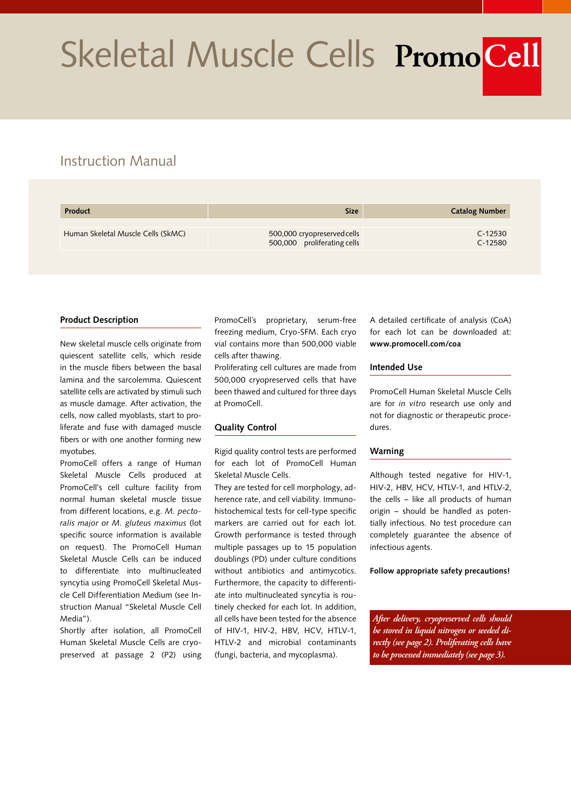# Skeletal Muscle Cells PromoCell

# Instruction Manual

| Product                            | <b>Size</b>                                                | <b>Catalog Number</b>  |
|------------------------------------|------------------------------------------------------------|------------------------|
| Human Skeletal Muscle Cells (SkMC) | 500,000 cryopreserved cells<br>500,000 proliferating cells | $C-12530$<br>$C-12580$ |

## **Product Description**

New skeletal muscle cells originate from quiescent satellite cells, which reside in the muscle fibers between the basal lamina and the sarcolemma. Quiescent satellite cells are activated by stimuli such as muscle damage. After activation, the cells, now called myoblasts, start to proliferate and fuse with damaged muscle fibers or with one another forming new myotubes.

PromoCell offers a range of Human Skeletal Muscle Cells produced at PromoCell's cell culture facility from normal human skeletal muscle tissue from different locations, e.g. *M. pectoralis major* or *M. gluteus maximus* (lot specific source information is available on request). The PromoCell Human Skeletal Muscle Cells can be induced to differentiate into multinucleated syncytia using PromoCell Skeletal Muscle Cell Differentiation Medium (see Instruction Manual "Skeletal Muscle Cell Media").

Shortly after isolation, all PromoCell Human Skeletal Muscle Cells are cryopreserved at passage 2 (P2) using

PromoCell´s proprietary, serum-free freezing medium, Cryo-SFM. Each cryo vial contains more than 500,000 viable cells after thawing.

Proliferating cell cultures are made from 500,000 cryopreserved cells that have been thawed and cultured for three days at PromoCell.

### **Quality Control**

Rigid quality control tests are performed for each lot of PromoCell Human Skeletal Muscle Cells.

They are tested for cell morphology, adherence rate, and cell viability. Immunohistochemical tests for cell-type specific markers are carried out for each lot. Growth performance is tested through multiple passages up to 15 population doublings (PD) under culture conditions without antibiotics and antimycotics. Furthermore, the capacity to differentiate into multinucleated syncytia is routinely checked for each lot. In addition, all cells have been tested for the absence of HIV-1, HIV-2, HBV, HCV, HTLV-1, HTLV-2 and microbial contaminants (fungi, bacteria, and mycoplasma).

A detailed certificate of analysis (CoA) for each lot can be downloaded at: **www.promocell.com/coa**

#### **Intended Use**

PromoCell Human Skeletal Muscle Cells are for *in vitro* research use only and not for diagnostic or therapeutic procedures.

### **Warning**

Although tested negative for HIV-1, HIV-2, HBV, HCV, HTLV-1, and HTLV-2, the cells – like all products of human origin – should be handled as potentially infectious. No test procedure can completely guarantee the absence of infectious agents.

#### **Follow appropriate safety precautions!**

*After delivery, cryopreserved cells should be stored in liquid nitrogen or seeded directly (see page 2). Proliferating cells have to be processed immediately (see page 3).*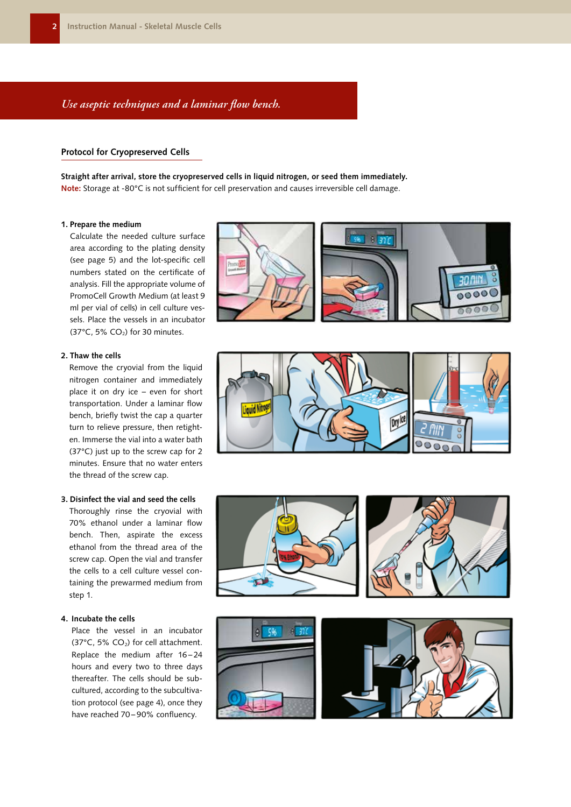## *Use aseptic techniques and a laminar flow bench.*

## **Protocol for Cryopreserved Cells**

**Straight after arrival, store the cryopreserved cells in liquid nitrogen, or seed them immediately. Note:** Storage at -80°C is not sufficient for cell preservation and causes irreversible cell damage.

#### **1. Prepare the medium**

Calculate the needed culture surface area according to the plating density (see page 5) and the lot-specific cell numbers stated on the certificate of analysis. Fill the appropriate volume of PromoCell Growth Medium (at least 9 ml per vial of cells) in cell culture vessels. Place the vessels in an incubator (37 $^{\circ}$ C, 5% CO<sub>2</sub>) for 30 minutes.

## **2. Thaw the cells**

Remove the cryovial from the liquid nitrogen container and immediately place it on dry ice – even for short transportation. Under a laminar flow bench, briefly twist the cap a quarter turn to relieve pressure, then retighten. Immerse the vial into a water bath (37°C) just up to the screw cap for 2 minutes. Ensure that no water enters the thread of the screw cap.

## **3. Disinfect the vial and seed the cells**

Thoroughly rinse the cryovial with 70% ethanol under a laminar flow bench. Then, aspirate the excess ethanol from the thread area of the screw cap. Open the vial and transfer the cells to a cell culture vessel containing the prewarmed medium from step 1.

#### **4. Incubate the cells**

Place the vessel in an incubator (37 $\degree$ C, 5% CO<sub>2</sub>) for cell attachment. Replace the medium after 16 – 24 hours and every two to three days thereafter. The cells should be subcultured, according to the subcultivation protocol (see page 4), once they have reached 70-90% confluency.







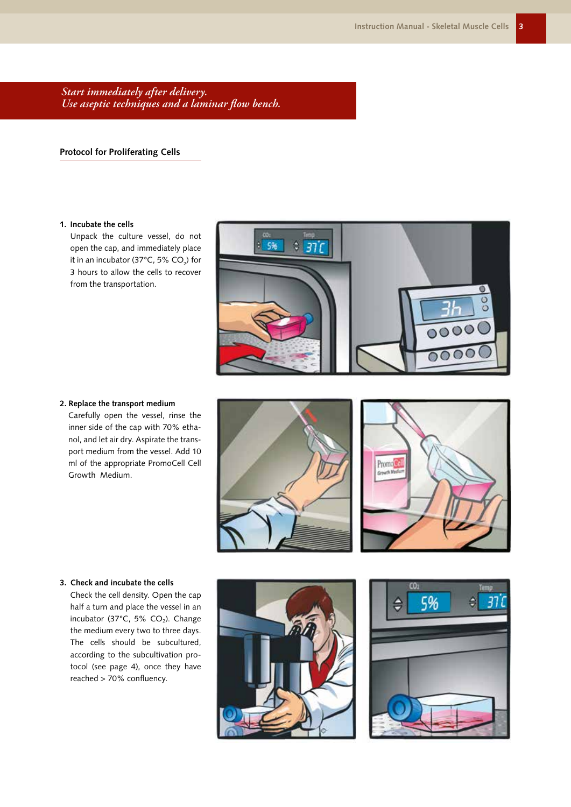*Start immediately after delivery. Use aseptic techniques and a laminar flow bench.*

## **Protocol for Proliferating Cells**

### **1. Incubate the cells**

Unpack the culture vessel, do not open the cap, and immediately place it in an incubator (37°C, 5% CO $_2$ ) for 3 hours to allow the cells to recover from the transportation.



## **2. Replace the transport medium**

Carefully open the vessel, rinse the inner side of the cap with 70% ethanol, and let air dry. Aspirate the transport medium from the vessel. Add 10 ml of the appropriate PromoCell Cell Growth Medium.





## **3. Check and incubate the cells**

Check the cell density. Open the cap half a turn and place the vessel in an incubator (37 $^{\circ}$ C, 5% CO<sub>2</sub>). Change the medium every two to three days. The cells should be subcultured, according to the subcultivation protocol (see page 4), once they have reached > 70% confluency.



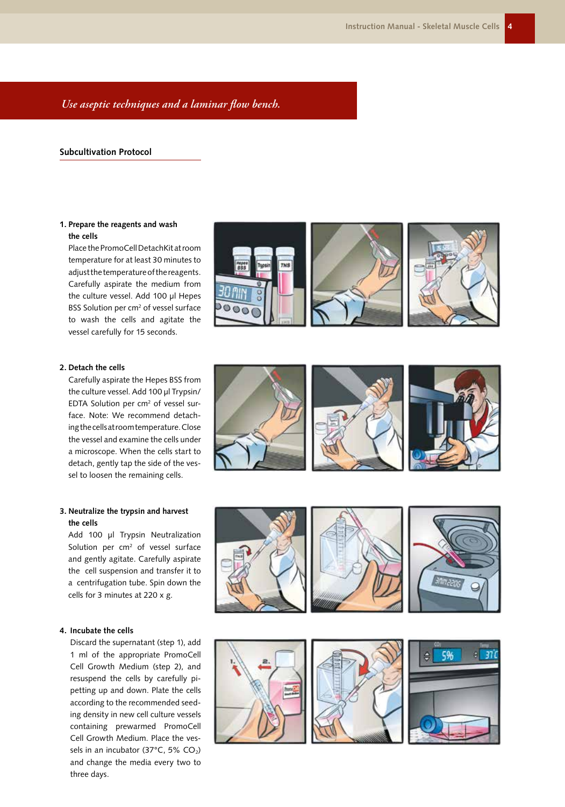## *Use aseptic techniques and a laminar flow bench.*

## **Subcultivation Protocol**

## **1. Prepare the reagents and wash the cells**

Place the PromoCell DetachKit at room temperature for at least 30 minutes to adjust the temperature of the reagents. Carefully aspirate the medium from the culture vessel. Add 100 µl Hepes BSS Solution per cm<sup>2</sup> of vessel surface to wash the cells and agitate the vessel carefully for 15 seconds.





Carefully aspirate the Hepes BSS from the culture vessel. Add 100 µl Trypsin/ EDTA Solution per cm<sup>2</sup> of vessel surface. Note: We recommend detaching the cells at room temperature. Close the vessel and examine the cells under a microscope. When the cells start to detach, gently tap the side of the vessel to loosen the remaining cells.

## **3. Neutralize the trypsin and harvest the cells**

Add 100 µl Trypsin Neutralization Solution per cm<sup>2</sup> of vessel surface and gently agitate. Carefully aspirate the cell suspension and transfer it to a centrifugation tube. Spin down the cells for 3 minutes at 220 x g.

## **4. Incubate the cells**

Discard the supernatant (step 1), add 1 ml of the appropriate PromoCell Cell Growth Medium (step 2), and resuspend the cells by carefully pipetting up and down. Plate the cells according to the recommended seeding density in new cell culture vessels containing prewarmed PromoCell Cell Growth Medium. Place the vessels in an incubator (37°C, 5% CO<sub>2</sub>) and change the media every two to three days.





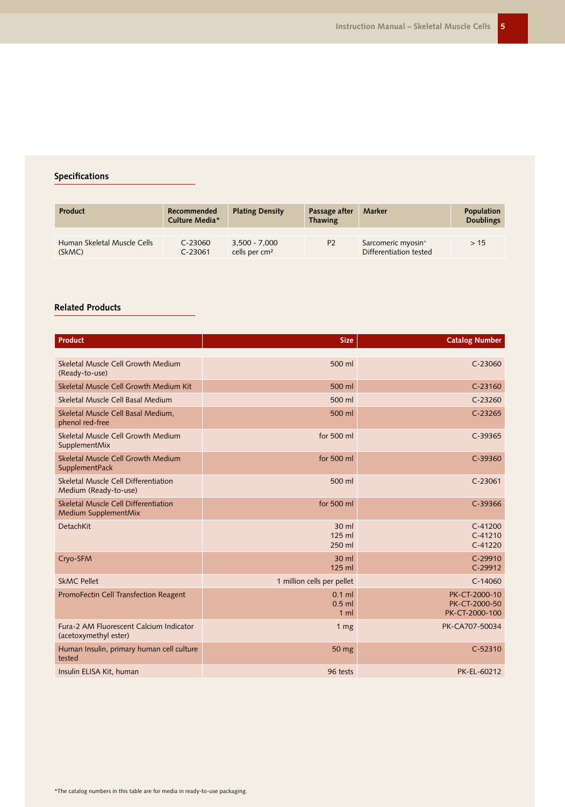## **Specifications**

| <b>Product</b>                        | Recommended<br>Culture Media* | <b>Plating Density</b>                       | Passage after<br><b>Thawing</b> | Marker                                                   | Population<br><b>Doublings</b> |
|---------------------------------------|-------------------------------|----------------------------------------------|---------------------------------|----------------------------------------------------------|--------------------------------|
|                                       |                               |                                              |                                 |                                                          |                                |
| Human Skeletal Muscle Cells<br>(SkMC) | $C - 23060$<br>$C-23061$      | $3,500 - 7,000$<br>cells per cm <sup>2</sup> | P <sub>2</sub>                  | Sarcomeric myosin <sup>+</sup><br>Differentiation tested | >15                            |

## **Related Products**

| <b>Product</b>                                                   | <b>Size</b>                            | <b>Catalog Number</b>                            |
|------------------------------------------------------------------|----------------------------------------|--------------------------------------------------|
|                                                                  |                                        |                                                  |
| Skeletal Muscle Cell Growth Medium<br>(Ready-to-use)             | 500 ml                                 | $C-23060$                                        |
| Skeletal Muscle Cell Growth Medium Kit                           | 500 ml                                 | $C-23160$                                        |
| Skeletal Muscle Cell Basal Medium                                | 500 ml                                 | $C-23260$                                        |
| Skeletal Muscle Cell Basal Medium,<br>phenol red-free            | 500 ml                                 | $C-23265$                                        |
| Skeletal Muscle Cell Growth Medium<br>SupplementMix              | for 500 ml                             | $C-39365$                                        |
| Skeletal Muscle Cell Growth Medium<br>SupplementPack             | for 500 ml                             | $C-39360$                                        |
| Skeletal Muscle Cell Differentiation<br>Medium (Ready-to-use)    | 500 ml                                 | $C-23061$                                        |
| Skeletal Muscle Cell Differentiation<br>Medium SupplementMix     | for 500 ml                             | $C-39366$                                        |
| <b>DetachKit</b>                                                 | 30 ml<br>125 ml<br>250 ml              | $C-41200$<br>$C-41210$<br>$C-41220$              |
| Cryo-SFM                                                         | 30 ml<br>125 ml                        | $C-29910$<br>C-29912                             |
| <b>SkMC Pellet</b>                                               | 1 million cells per pellet             | $C-14060$                                        |
| <b>PromoFectin Cell Transfection Reagent</b>                     | $0.1$ ml<br>$0.5$ ml<br>1 <sub>m</sub> | PK-CT-2000-10<br>PK-CT-2000-50<br>PK-CT-2000-100 |
| Fura-2 AM Fluorescent Calcium Indicator<br>(acetoxymethyl ester) | 1 <sub>mg</sub>                        | PK-CA707-50034                                   |
| Human Insulin, primary human cell culture<br>tested              | 50 mg                                  | $C-52310$                                        |
| Insulin ELISA Kit, human                                         | 96 tests                               | PK-EL-60212                                      |